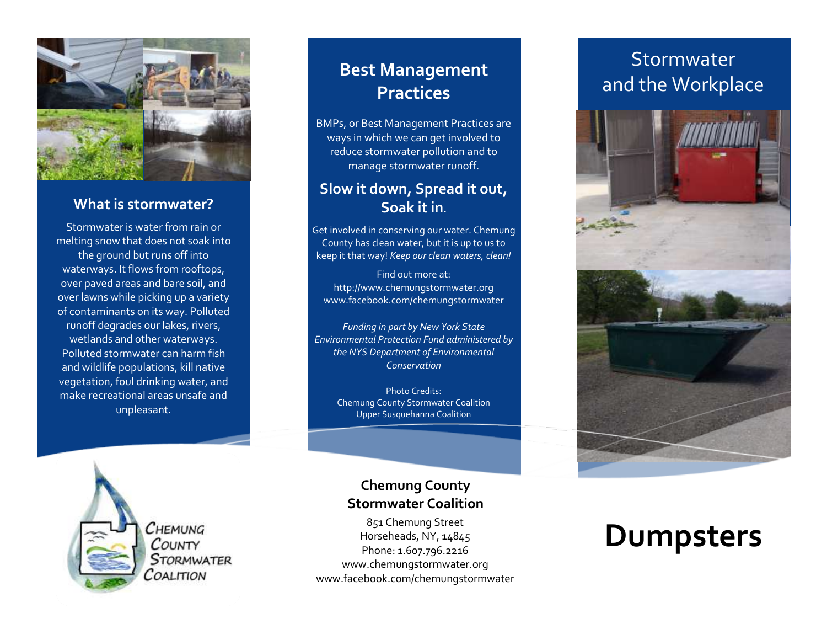

#### **What is stormwater?**

Stormwater is water from rain or melting snow that does not soak into the ground but runs off into waterways. It flows from rooftops, over paved areas and bare soil, and over lawns while picking up a variety of contaminants on its way. Polluted runoff degrades our lakes, rivers, wetlands and other waterways. Polluted stormwater can harm fish and wildlife populations, kill native vegetation, foul drinking water, and make recreational areas unsafe and unpleasant.

### **Best Management Practices**

BMPs, or Best Management Practices are ways in which we can get involved to reduce stormwater pollution and to manage stormwater runoff.

#### **Slow it down, Spread it out, Soak it in.**

Get involved in conserving our water. Chemung County has clean water, but it is up to us to keep it that way! *Keep our clean waters, clean!*

Find out more at: http://www.chemungstormwater.org www.facebook.com/chemungstormwater

*Funding in part by New York State Environmental Protection Fund administered by the NYS Department of Environmental Conservation*

Photo Credits: Chemung County Stormwater Coalition Upper Susquehanna Coalition



 $C$ HEMUNG COUNTY **STORMWATER** COALITION

#### **Chemung County Stormwater Coalition**

851 Chemung Street Horseheads, NY, 14845 Phone: 1.607.796.2216 www.chemungstormwater.org www.facebook.com/chemungstormwater

## Stormwater and the Workplace



## **Dumpsters**